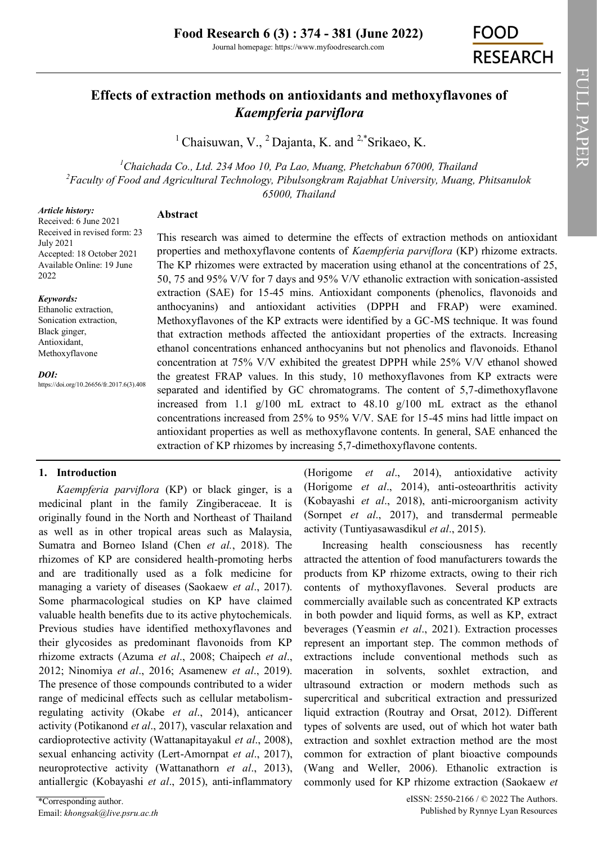Journal homepage: https://www.myfoodresearch.com

**FOOD RESEARCH** 

# **Effects of extraction methods on antioxidants and methoxyflavones of**  *Kaempferia parviflora*

<sup>1</sup> Chaisuwan, V., <sup>2</sup> Dajanta, K. and <sup>2,\*</sup>[Srikaeo, K.](https://orcid.org/0000-0003-4621-1690)

*<sup>1</sup>Chaichada Co., Ltd. 234 Moo 10, Pa Lao, Muang, Phetchabun 67000, Thailand <sup>2</sup>Faculty of Food and Agricultural Technology, Pibulsongkram Rajabhat University, Muang, Phitsanulok 65000, Thailand*

#### *Article history:*

Received: 6 June 2021 Received in revised form: 23 July 2021 Accepted: 18 October 2021 Available Online: 19 June 2022

#### *Keywords:*

Ethanolic extraction, Sonication extraction, Black ginger, Antioxidant, Methoxyflavone

*DOI:*

https://doi.org/10.26656/fr.2017.6(3).408

# **Abstract**

This research was aimed to determine the effects of extraction methods on antioxidant properties and methoxyflavone contents of *Kaempferia parviflora* (KP) rhizome extracts. The KP rhizomes were extracted by maceration using ethanol at the concentrations of 25, 50, 75 and 95% V/V for 7 days and 95% V/V ethanolic extraction with sonication-assisted extraction (SAE) for 15-45 mins. Antioxidant components (phenolics, flavonoids and anthocyanins) and antioxidant activities (DPPH and FRAP) were examined. Methoxyflavones of the KP extracts were identified by a GC-MS technique. It was found that extraction methods affected the antioxidant properties of the extracts. Increasing ethanol concentrations enhanced anthocyanins but not phenolics and flavonoids. Ethanol concentration at 75% V/V exhibited the greatest DPPH while 25% V/V ethanol showed the greatest FRAP values. In this study, 10 methoxyflavones from KP extracts were separated and identified by GC chromatograms. The content of 5,7-dimethoxyflavone increased from 1.1  $g/100$  mL extract to 48.10  $g/100$  mL extract as the ethanol concentrations increased from 25% to 95% V/V. SAE for 15-45 mins had little impact on antioxidant properties as well as methoxyflavone contents. In general, SAE enhanced the extraction of KP rhizomes by increasing 5,7-dimethoxyflavone contents.

# **1. Introduction**

*Kaempferia parviflora* (KP) or black ginger, is a medicinal plant in the family Zingiberaceae. It is originally found in the North and Northeast of Thailand as well as in other tropical areas such as Malaysia, Sumatra and Borneo Island (Chen *et al.*, 2018). The rhizomes of KP are considered health-promoting herbs and are traditionally used as a folk medicine for managing a variety of diseases (Saokaew *et al*., 2017). Some pharmacological studies on KP have claimed valuable health benefits due to its active phytochemicals. Previous studies have identified methoxyflavones and their glycosides as predominant flavonoids from KP rhizome extracts (Azuma *et al*., 2008; Chaipech *et al*., 2012; Ninomiya *et al*., 2016; Asamenew *et al*., 2019). The presence of those compounds contributed to a wider range of medicinal effects such as cellular metabolismregulating activity (Okabe *et al*., 2014), anticancer activity (Potikanond *et al*., 2017), vascular relaxation and cardioprotective activity (Wattanapitayakul *et al*., 2008), sexual enhancing activity (Lert‐Amornpat *et al*., 2017), neuroprotective activity (Wattanathorn *et al*., 2013), antiallergic (Kobayashi *et al*., 2015), anti-inflammatory

(Horigome *et al*., 2014), antioxidative activity (Horigome *et al*., 2014), anti-osteoarthritis activity (Kobayashi *et al*., 2018), anti-microorganism activity (Sornpet *et al*., 2017), and transdermal permeable activity (Tuntiyasawasdikul *et al*., 2015).

Increasing health consciousness has recently attracted the attention of food manufacturers towards the products from KP rhizome extracts, owing to their rich contents of mythoxyflavones. Several products are commercially available such as concentrated KP extracts in both powder and liquid forms, as well as KP, extract beverages (Yeasmin *et al*., 2021). Extraction processes represent an important step. The common methods of extractions include conventional methods such as maceration in solvents, soxhlet extraction, and ultrasound extraction or modern methods such as supercritical and subcritical extraction and pressurized liquid extraction (Routray and Orsat, 2012). Different types of solvents are used, out of which hot water bath extraction and soxhlet extraction method are the most common for extraction of plant bioactive compounds (Wang and Weller, 2006). Ethanolic extraction is commonly used for KP rhizome extraction (Saokaew *et*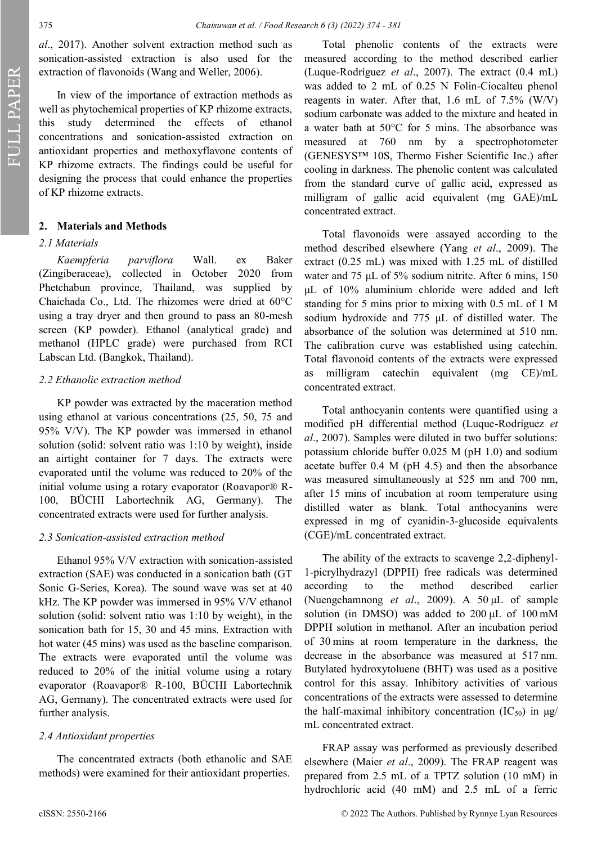FULL PAPER

*al*., 2017). Another solvent extraction method such as sonication-assisted extraction is also used for the extraction of flavonoids (Wang and Weller, 2006).

In view of the importance of extraction methods as well as phytochemical properties of KP rhizome extracts, this study determined the effects of ethanol concentrations and sonication-assisted extraction on antioxidant properties and methoxyflavone contents of KP rhizome extracts. The findings could be useful for designing the process that could enhance the properties of KP rhizome extracts.

# **2. Materials and Methods**

### *2.1 Materials*

*Kaempferia parviflora* Wall. ex Baker (Zingiberaceae), collected in October 2020 from Phetchabun province, Thailand, was supplied by Chaichada Co., Ltd. The rhizomes were dried at 60°C using a tray dryer and then ground to pass an 80-mesh screen (KP powder). Ethanol (analytical grade) and methanol (HPLC grade) were purchased from RCI Labscan Ltd. (Bangkok, Thailand).

### *2.2 Ethanolic extraction method*

KP powder was extracted by the maceration method using ethanol at various concentrations (25, 50, 75 and 95% V/V). The KP powder was immersed in ethanol solution (solid: solvent ratio was 1:10 by weight), inside an airtight container for 7 days. The extracts were evaporated until the volume was reduced to 20% of the initial volume using a rotary evaporator (Roavapor® R-100, BÜCHI Labortechnik AG, Germany). The concentrated extracts were used for further analysis.

### *2.3 Sonication-assisted extraction method*

Ethanol 95% V/V extraction with sonication-assisted extraction (SAE) was conducted in a sonication bath (GT Sonic G-Series, Korea). The sound wave was set at 40 kHz. The KP powder was immersed in 95% V/V ethanol solution (solid: solvent ratio was 1:10 by weight), in the sonication bath for 15, 30 and 45 mins. Extraction with hot water (45 mins) was used as the baseline comparison. The extracts were evaporated until the volume was reduced to 20% of the initial volume using a rotary evaporator (Roavapor® R-100, BÜCHI Labortechnik AG, Germany). The concentrated extracts were used for further analysis.

### *2.4 Antioxidant properties*

The concentrated extracts (both ethanolic and SAE methods) were examined for their antioxidant properties.

Total phenolic contents of the extracts were measured according to the method described earlier (Luque-Rodríguez *et al*., 2007). The extract (0.4 mL) was added to 2 mL of 0.25 N Folin-Ciocalteu phenol reagents in water. After that, 1.6 mL of 7.5% (W/V) sodium carbonate was added to the mixture and heated in a water bath at 50°C for 5 mins. The absorbance was measured at 760 nm by a spectrophotometer (GENESYS™ 10S, Thermo Fisher Scientific Inc.) after cooling in darkness. The phenolic content was calculated from the standard curve of gallic acid, expressed as milligram of gallic acid equivalent (mg GAE)/mL concentrated extract.

Total flavonoids were assayed according to the method described elsewhere (Yang *et al*., 2009). The extract (0.25 mL) was mixed with 1.25 mL of distilled water and 75 μL of 5% sodium nitrite. After 6 mins, 150 μL of 10% aluminium chloride were added and left standing for 5 mins prior to mixing with 0.5 mL of 1 M sodium hydroxide and 775 μL of distilled water. The absorbance of the solution was determined at 510 nm. The calibration curve was established using catechin. Total flavonoid contents of the extracts were expressed as milligram catechin equivalent (mg CE)/mL concentrated extract.

Total anthocyanin contents were quantified using a modified pH differential method (Luque-Rodríguez *et al*., 2007). Samples were diluted in two buffer solutions: potassium chloride buffer 0.025 M (pH 1.0) and sodium acetate buffer 0.4 M (pH 4.5) and then the absorbance was measured simultaneously at 525 nm and 700 nm, after 15 mins of incubation at room temperature using distilled water as blank. Total anthocyanins were expressed in mg of cyanidin-3-glucoside equivalents (CGE)/mL concentrated extract.

The ability of the extracts to scavenge 2,2-diphenyl-1-picrylhydrazyl (DPPH) free radicals was determined according to the method described earlier (Nuengchamnong *et al*., 2009). A 50 μL of sample solution (in DMSO) was added to 200 μL of 100 mM DPPH solution in methanol. After an incubation period of 30 mins at room temperature in the darkness, the decrease in the absorbance was measured at 517 nm. Butylated hydroxytoluene (BHT) was used as a positive control for this assay. Inhibitory activities of various concentrations of the extracts were assessed to determine the half-maximal inhibitory concentration  $(IC_{50})$  in  $\mu$ g/ mL concentrated extract.

FRAP assay was performed as previously described elsewhere (Maier *et al*., 2009). The FRAP reagent was prepared from 2.5 mL of a TPTZ solution (10 mM) in hydrochloric acid (40 mM) and 2.5 mL of a ferric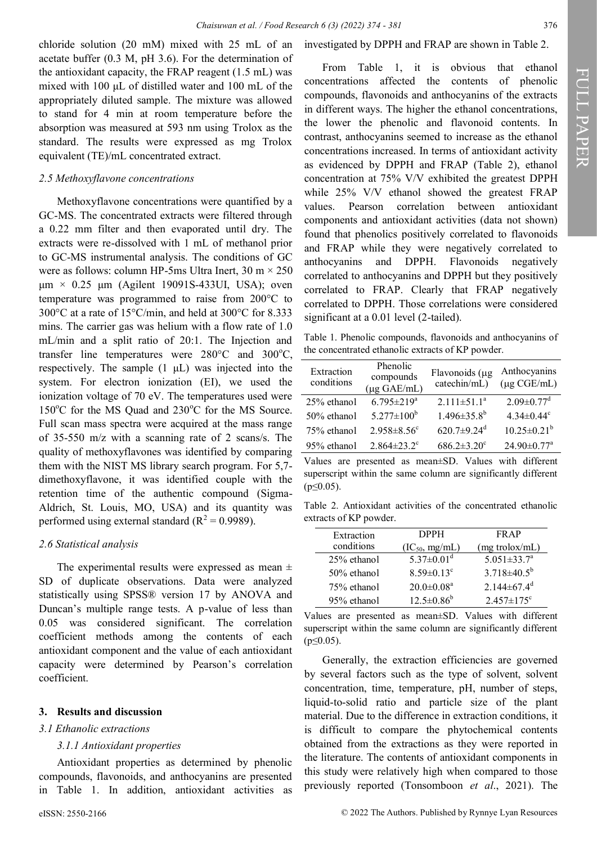chloride solution (20 mM) mixed with 25 mL of an acetate buffer (0.3 M, pH 3.6). For the determination of the antioxidant capacity, the FRAP reagent (1.5 mL) was mixed with 100 μL of distilled water and 100 mL of the appropriately diluted sample. The mixture was allowed to stand for 4 min at room temperature before the absorption was measured at 593 nm using Trolox as the standard. The results were expressed as mg Trolox equivalent (TE)/mL concentrated extract.

### *2.5 Methoxyflavone concentrations*

Methoxyflavone concentrations were quantified by a GC-MS. The concentrated extracts were filtered through a 0.22 mm filter and then evaporated until dry. The extracts were re-dissolved with 1 mL of methanol prior to GC-MS instrumental analysis. The conditions of GC were as follows: column HP-5ms Ultra Inert,  $30 \text{ m} \times 250$ μm × 0.25 μm (Agilent 19091S-433UI, USA); oven temperature was programmed to raise from 200°C to 300°C at a rate of 15°C/min, and held at 300°C for 8.333 mins. The carrier gas was helium with a flow rate of 1.0 mL/min and a split ratio of 20:1. The Injection and transfer line temperatures were  $280^{\circ}$ C and  $300^{\circ}$ C, respectively. The sample (1 μL) was injected into the system. For electron ionization (EI), we used the ionization voltage of 70 eV. The temperatures used were  $150^{\circ}$ C for the MS Quad and  $230^{\circ}$ C for the MS Source. Full scan mass spectra were acquired at the mass range of 35-550 m/z with a scanning rate of 2 scans/s. The quality of methoxyflavones was identified by comparing them with the NIST MS library search program. For 5,7 dimethoxyflavone, it was identified couple with the retention time of the authentic compound (Sigma-Aldrich, St. Louis, MO, USA) and its quantity was performed using external standard  $(R^2 = 0.9989)$ .

# *2.6 Statistical analysis*

The experimental results were expressed as mean  $\pm$ SD of duplicate observations. Data were analyzed statistically using SPSS® version 17 by ANOVA and Duncan's multiple range tests. A p-value of less than 0.05 was considered significant. The correlation coefficient methods among the contents of each antioxidant component and the value of each antioxidant capacity were determined by Pearson's correlation coefficient.

# **3. Results and discussion**

# *3.1 Ethanolic extractions*

# *3.1.1 Antioxidant properties*

Antioxidant properties as determined by phenolic compounds, flavonoids, and anthocyanins are presented in Table 1. In addition, antioxidant activities as

From Table 1, it is obvious that ethanol concentrations affected the contents of phenolic compounds, flavonoids and anthocyanins of the extracts in different ways. The higher the ethanol concentrations, the lower the phenolic and flavonoid contents. In contrast, anthocyanins seemed to increase as the ethanol concentrations increased. In terms of antioxidant activity as evidenced by DPPH and FRAP (Table 2), ethanol concentration at 75% V/V exhibited the greatest DPPH while 25% V/V ethanol showed the greatest FRAP values. Pearson correlation between antioxidant components and antioxidant activities (data not shown) found that phenolics positively correlated to flavonoids and FRAP while they were negatively correlated to anthocyanins and DPPH. Flavonoids negatively correlated to anthocyanins and DPPH but they positively correlated to FRAP. Clearly that FRAP negatively correlated to DPPH. Those correlations were considered significant at a 0.01 level (2-tailed).

Table 1. Phenolic compounds, flavonoids and anthocyanins of the concentrated ethanolic extracts of KP powder.

| Extraction<br>conditions | Phenolic<br>compounds<br>$(\mu g \text{ GAE/mL})$ | Flavonoids (µg<br>catechin/mL) | Anthocyanins<br>$(\mu g \text{ CGE/mL})$ |
|--------------------------|---------------------------------------------------|--------------------------------|------------------------------------------|
| 25% ethanol              | $6.795 \pm 219^{\circ}$                           | $2.111 \pm 51.1^a$             | $2.09 \pm 0.77$ <sup>d</sup>             |
| 50% ethanol              | $5.277 \pm 100^b$                                 | $1.496 \pm 35.8^b$             | $4.34 \pm 0.44$ <sup>c</sup>             |
| 75% ethanol              | $2.958 \pm 8.56$ <sup>c</sup>                     | $620.7 \pm 9.24$ <sup>d</sup>  | $10.25 \pm 0.21^b$                       |
| 95% ethanol              | $2.864 \pm 23.2$ <sup>c</sup>                     | $686.2 \pm 3.20$ <sup>c</sup>  | $24.90 \pm 0.77$ <sup>a</sup>            |

Values are presented as mean±SD. Values with different superscript within the same column are significantly different  $(p \le 0.05)$ .

Table 2. Antioxidant activities of the concentrated ethanolic extracts of KP powder.

| Extraction  | <b>DPPH</b>                  | FR AP                         |
|-------------|------------------------------|-------------------------------|
| conditions  | $(IC_{50}, mg/mL)$           | (mg trolox/mL)                |
| 25% ethanol | $5.37 \pm 0.01$ <sup>d</sup> | $5.051 \pm 33.7^{\circ}$      |
| 50% ethanol | $8.59 \pm 0.13$ <sup>c</sup> | $3.718 \pm 40.5^b$            |
| 75% ethanol | $20.0 \pm 0.08$ <sup>a</sup> | $2.144 \pm 67.4$ <sup>d</sup> |
| 95% ethanol | $12.5 \pm 0.86^b$            | $2.457 \pm 175$ <sup>c</sup>  |

Values are presented as mean±SD. Values with different superscript within the same column are significantly different  $(p \le 0.05)$ .

Generally, the extraction efficiencies are governed by several factors such as the type of solvent, solvent concentration, time, temperature, pH, number of steps, liquid-to-solid ratio and particle size of the plant material. Due to the difference in extraction conditions, it is difficult to compare the phytochemical contents obtained from the extractions as they were reported in the literature. The contents of antioxidant components in this study were relatively high when compared to those previously reported (Tonsomboon *et al*., 2021). The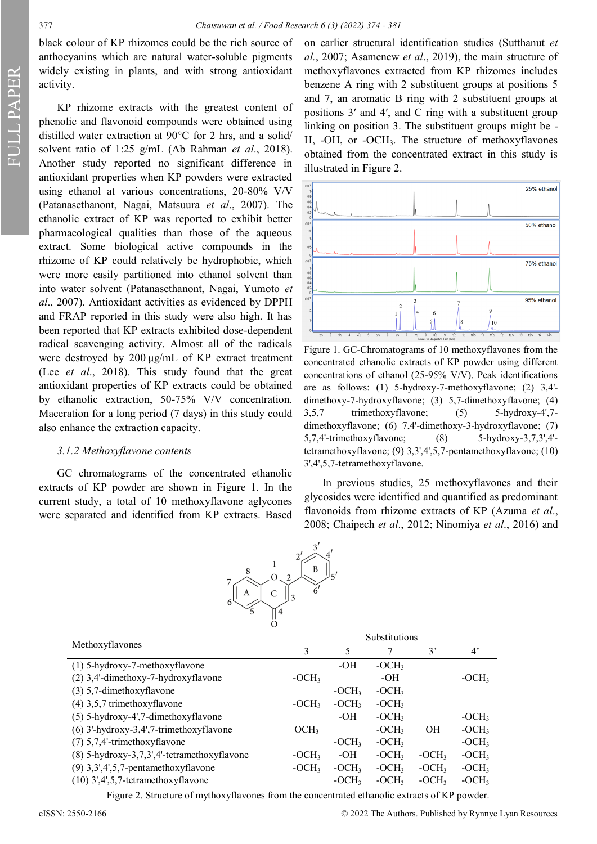FULL PAPER

black colour of KP rhizomes could be the rich source of anthocyanins which are natural water-soluble pigments widely existing in plants, and with strong antioxidant activity.

KP rhizome extracts with the greatest content of phenolic and flavonoid compounds were obtained using distilled water extraction at 90°C for 2 hrs, and a solid/ solvent ratio of 1:25 g/mL (Ab Rahman *et al*., 2018). Another study reported no significant difference in antioxidant properties when KP powders were extracted using ethanol at various concentrations, 20-80% V/V (Patanasethanont, Nagai, Matsuura *et al*., 2007). The ethanolic extract of KP was reported to exhibit better pharmacological qualities than those of the aqueous extract. Some biological active compounds in the rhizome of KP could relatively be hydrophobic, which were more easily partitioned into ethanol solvent than into water solvent (Patanasethanont, Nagai, Yumoto *et al*., 2007). Antioxidant activities as evidenced by DPPH and FRAP reported in this study were also high. It has been reported that KP extracts exhibited dose-dependent radical scavenging activity. Almost all of the radicals were destroyed by 200 μg/mL of KP extract treatment (Lee *et al*., 2018). This study found that the great antioxidant properties of KP extracts could be obtained by ethanolic extraction, 50-75% V/V concentration. Maceration for a long period (7 days) in this study could also enhance the extraction capacity.

#### *3.1.2 Methoxyflavone contents*

GC chromatograms of the concentrated ethanolic extracts of KP powder are shown in Figure 1. In the current study, a total of 10 methoxyflavone aglycones were separated and identified from KP extracts. Based

on earlier structural identification studies (Sutthanut *et al.*, 2007; Asamenew *et al*., 2019), the main structure of methoxyflavones extracted from KP rhizomes includes benzene A ring with 2 substituent groups at positions 5 and 7, an aromatic B ring with 2 substituent groups at positions 3′ and 4′, and C ring with a substituent group linking on position 3. The substituent groups might be - H, -OH, or -OCH3. The structure of methoxyflavones obtained from the concentrated extract in this study is illustrated in Figure 2.



Figure 1. GC-Chromatograms of 10 methoxyflavones from the concentrated ethanolic extracts of KP powder using different concentrations of ethanol (25-95% V/V). Peak identifications are as follows: (1) 5-hydroxy-7-methoxyflavone; (2) 3,4' dimethoxy-7-hydroxyflavone; (3) 5,7-dimethoxyflavone; (4) 3,5,7 trimethoxyflavone; (5) 5-hydroxy-4',7 dimethoxyflavone; (6) 7,4'-dimethoxy-3-hydroxyflavone; (7) 5,7,4'-trimethoxyflavone; (8) 5-hydroxy-3,7,3',4' tetramethoxyflavone; (9) 3,3',4',5,7-pentamethoxyflavone; (10) 3',4',5,7-tetramethoxyflavone.

In previous studies, 25 methoxyflavones and their glycosides were identified and quantified as predominant flavonoids from rhizome extracts of KP (Azuma *et al*., 2008; Chaipech *et al*., 2012; Ninomiya *et al*., 2016) and



|                                             | Substitutions    |         |         |           |             |
|---------------------------------------------|------------------|---------|---------|-----------|-------------|
| Methoxyflavones                             | 3                | 5       |         | 3'        | $4^{\circ}$ |
| $(1)$ 5-hydroxy-7-methoxyflavone            |                  | -OH     | $-OCH3$ |           |             |
| (2) 3,4'-dimethoxy-7-hydroxyflavone         | $-OCH3$          |         | -OH     |           | $-OCH3$     |
| $(3)$ 5,7-dimethoxyflavone                  |                  | $-OCH3$ | $-OCH3$ |           |             |
| $(4)$ 3,5,7 trimethoxyflavone               | $-OCH3$          | $-OCH3$ | $-OCH3$ |           |             |
| $(5)$ 5-hydroxy-4',7-dimethoxyflavone       |                  | $-OH$   | $-OCH3$ |           | $-OCH3$     |
| $(6)$ 3'-hydroxy-3,4',7-trimethoxyflavone   | OCH <sub>3</sub> |         | $-OCH3$ | <b>OH</b> | $-OCH3$     |
| $(7)$ 5,7,4'-trimethoxyflavone              |                  | $-OCH3$ | $-OCH3$ |           | $-OCH3$     |
| (8) 5-hydroxy-3,7,3',4'-tetramethoxyflavone | $-OCH3$          | -OH     | $-OCH3$ | $-OCH3$   | $-OCH3$     |
| $(9)$ 3,3',4',5,7-pentamethoxyflavone       | $-OCH3$          | $-OCH3$ | $-OCH3$ | $-OCH3$   | $-OCH3$     |
| $(10)$ 3',4',5,7-tetramethoxyflavone        |                  | $-OCH3$ | $-OCH3$ | $-OCH3$   | $-OCH3$     |

Figure 2. Structure of mythoxyflavones from the concentrated ethanolic extracts of KP powder.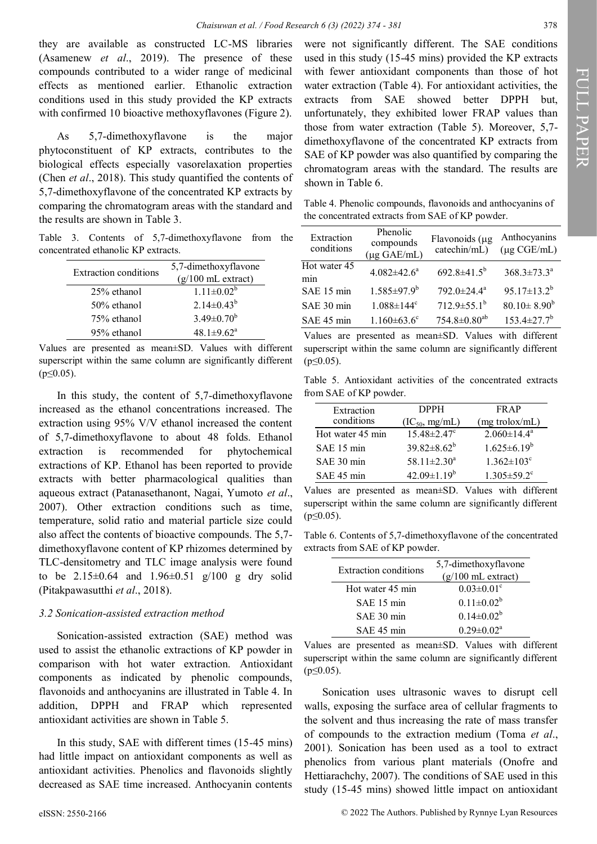they are available as constructed LC-MS libraries (Asamenew *et al*., 2019). The presence of these compounds contributed to a wider range of medicinal effects as mentioned earlier. Ethanolic extraction conditions used in this study provided the KP extracts with confirmed 10 bioactive methoxyflavones (Figure 2).

As 5,7-dimethoxyflavone is the major phytoconstituent of KP extracts, contributes to the biological effects especially vasorelaxation properties (Chen *et al*., 2018). This study quantified the contents of 5,7-dimethoxyflavone of the concentrated KP extracts by comparing the chromatogram areas with the standard and the results are shown in Table 3.

Table 3. Contents of 5,7-dimethoxyflavone from the concentrated ethanolic KP extracts.

| Extraction conditions | 5,7-dimethoxyflavone<br>$(g/100 \text{ mL extract})$ |  |
|-----------------------|------------------------------------------------------|--|
| 25% ethanol           | $1.11 \pm 0.02^b$                                    |  |
| 50% ethanol           | $2.14 \pm 0.43^b$                                    |  |
| 75% ethanol           | $3.49 \pm 0.70^b$                                    |  |
| 95% ethanol           | $48.1 \pm 9.62^{\text{a}}$                           |  |

Values are presented as mean±SD. Values with different superscript within the same column are significantly different  $(p \le 0.05)$ .

In this study, the content of 5,7-dimethoxyflavone increased as the ethanol concentrations increased. The extraction using 95% V/V ethanol increased the content of 5,7-dimethoxyflavone to about 48 folds. Ethanol extraction is recommended for phytochemical extractions of KP. Ethanol has been reported to provide extracts with better pharmacological qualities than aqueous extract (Patanasethanont, Nagai, Yumoto *et al*., 2007). Other extraction conditions such as time, temperature, solid ratio and material particle size could also affect the contents of bioactive compounds. The 5,7 dimethoxyflavone content of KP rhizomes determined by TLC-densitometry and TLC image analysis were found to be  $2.15\pm0.64$  and  $1.96\pm0.51$  g/100 g dry solid (Pitakpawasutthi *et al*., 2018).

### *3.2 Sonication-assisted extraction method*

Sonication-assisted extraction (SAE) method was used to assist the ethanolic extractions of KP powder in comparison with hot water extraction. Antioxidant components as indicated by phenolic compounds, flavonoids and anthocyanins are illustrated in Table 4. In addition, DPPH and FRAP which represented antioxidant activities are shown in Table 5.

In this study, SAE with different times (15-45 mins) had little impact on antioxidant components as well as antioxidant activities. Phenolics and flavonoids slightly decreased as SAE time increased. Anthocyanin contents were not significantly different. The SAE conditions used in this study (15-45 mins) provided the KP extracts with fewer antioxidant components than those of hot water extraction (Table 4). For antioxidant activities, the extracts from SAE showed better DPPH but, unfortunately, they exhibited lower FRAP values than those from water extraction (Table 5). Moreover, 5,7 dimethoxyflavone of the concentrated KP extracts from SAE of KP powder was also quantified by comparing the chromatogram areas with the standard. The results are shown in Table 6.

Table 4. Phenolic compounds, flavonoids and anthocyanins of the concentrated extracts from SAE of KP powder.

| Extraction<br>conditions | Phenolic<br>compounds<br>$(\mu g \text{ GAE/mL})$ | Flavonoids (µg<br>catechin/mL) | Anthocyanins<br>$(\mu g \text{ CGE/mL})$ |
|--------------------------|---------------------------------------------------|--------------------------------|------------------------------------------|
| Hot water 45<br>min      | $4.082{\pm}42.6^a$                                | $692.8 \pm 41.5^b$             | $368.3 \pm 73.3^a$                       |
| SAE 15 min               | $1.585 \pm 97.9^b$                                | 792.0±24.4 <sup>a</sup>        | $95.17 \pm 13.2^b$                       |
| SAE 30 min               | $1.088 \pm 144$ <sup>c</sup>                      | $712.9 \pm 55.1^{\mathrm{b}}$  | $80.10 \pm 8.90^b$                       |
| SAE 45 min               | $1.160 \pm 63.6$ <sup>c</sup>                     | $754.8 \pm 0.80$ <sup>ab</sup> | $153.4 \pm 27.7$ <sup>b</sup>            |

Values are presented as mean±SD. Values with different superscript within the same column are significantly different  $(p \le 0.05)$ .

Table 5. Antioxidant activities of the concentrated extracts from SAE of KP powder.

| Extraction       | <b>DPPH</b>                   | <b>FRAP</b>                   |
|------------------|-------------------------------|-------------------------------|
| conditions       | $(IC_{50}, mg/mL)$            | $(mg \t{t}$ rolox/mL)         |
| Hot water 45 min | $15.48 \pm 2.47$ <sup>c</sup> | $2.060 \pm 14.4^a$            |
| SAE 15 min       | $39.82 \pm 8.62^b$            | $1.625 \pm 6.19^b$            |
| SAE 30 min       | 58.11 $\pm$ 2.30 <sup>a</sup> | $1.362 \pm 103$ <sup>c</sup>  |
| SAE 45 min       | $42.09 \pm 1.19^b$            | $1.305 \pm 59.2$ <sup>c</sup> |

Values are presented as mean±SD. Values with different superscript within the same column are significantly different  $(p \le 0.05)$ .

Table 6. Contents of 5,7-dimethoxyflavone of the concentrated extracts from SAE of KP powder.

| Extraction conditions | 5,7-dimethoxyflavone<br>$(g/100 \text{ mL extract})$ |
|-----------------------|------------------------------------------------------|
| Hot water 45 min      | $0.03 \pm 0.01$ <sup>c</sup>                         |
| SAE 15 min            | $0.11 \pm 0.02^b$                                    |
| SAE 30 min            | $0.14 \pm 0.02^b$                                    |
| SAE 45 min            | $0.29 \pm 0.02^a$                                    |

Values are presented as mean±SD. Values with different superscript within the same column are significantly different  $(p \le 0.05)$ .

Sonication uses ultrasonic waves to disrupt cell walls, exposing the surface area of cellular fragments to the solvent and thus increasing the rate of mass transfer of compounds to the extraction medium (Toma *et al*., 2001). Sonication has been used as a tool to extract phenolics from various plant materials (Onofre and Hettiarachchy, 2007). The conditions of SAE used in this study (15-45 mins) showed little impact on antioxidant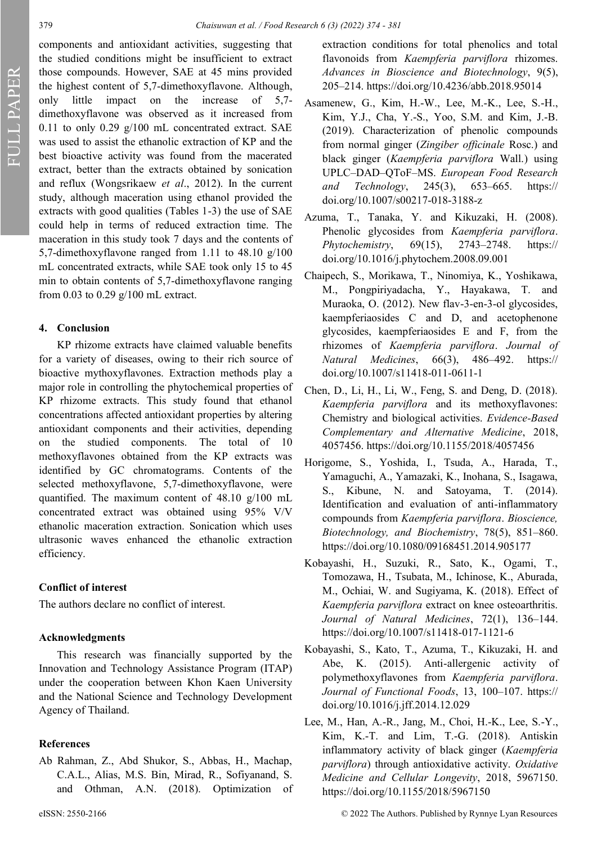FULL PAPER

components and antioxidant activities, suggesting that the studied conditions might be insufficient to extract those compounds. However, SAE at 45 mins provided the highest content of 5,7-dimethoxyflavone. Although, only little impact on the increase of 5,7 dimethoxyflavone was observed as it increased from 0.11 to only 0.29 g/100 mL concentrated extract. SAE was used to assist the ethanolic extraction of KP and the best bioactive activity was found from the macerated extract, better than the extracts obtained by sonication and reflux (Wongsrikaew *et al*., 2012). In the current study, although maceration using ethanol provided the extracts with good qualities (Tables 1-3) the use of SAE could help in terms of reduced extraction time. The maceration in this study took 7 days and the contents of 5,7-dimethoxyflavone ranged from 1.11 to 48.10 g/100 mL concentrated extracts, while SAE took only 15 to 45 min to obtain contents of 5,7-dimethoxyflavone ranging from 0.03 to 0.29 g/100 mL extract.

#### **4. Conclusion**

KP rhizome extracts have claimed valuable benefits for a variety of diseases, owing to their rich source of bioactive mythoxyflavones. Extraction methods play a major role in controlling the phytochemical properties of KP rhizome extracts. This study found that ethanol concentrations affected antioxidant properties by altering antioxidant components and their activities, depending on the studied components. The total of 10 methoxyflavones obtained from the KP extracts was identified by GC chromatograms. Contents of the selected methoxyflavone, 5,7-dimethoxyflavone, were quantified. The maximum content of 48.10 g/100 mL concentrated extract was obtained using 95% V/V ethanolic maceration extraction. Sonication which uses ultrasonic waves enhanced the ethanolic extraction efficiency.

### **Conflict of interest**

The authors declare no conflict of interest.

#### **Acknowledgments**

This research was financially supported by the Innovation and Technology Assistance Program (ITAP) under the cooperation between Khon Kaen University and the National Science and Technology Development Agency of Thailand.

#### **References**

Ab Rahman, Z., Abd Shukor, S., Abbas, H., Machap, C.A.L., Alias, M.S. Bin, Mirad, R., Sofiyanand, S. and Othman, A.N. (2018). Optimization of extraction conditions for total phenolics and total flavonoids from *Kaempferia parviflora* rhizomes. *Advances in Bioscience and Biotechnology*, 9(5), 205–214. https://doi.org/10.4236/abb.2018.95014

- Asamenew, G., Kim, H.-W., Lee, M.-K., Lee, S.-H., Kim, Y.J., Cha, Y.-S., Yoo, S.M. and Kim, J.-B. (2019). Characterization of phenolic compounds from normal ginger (*Zingiber officinale* Rosc.) and black ginger (*Kaempferia parviflora* Wall.) using UPLC–DAD–QToF–MS. *European Food Research and Technology*, 245(3), 653–665. https:// doi.org/10.1007/s00217-018-3188-z
- Azuma, T., Tanaka, Y. and Kikuzaki, H. (2008). Phenolic glycosides from *Kaempferia parviflora*. *Phytochemistry*, 69(15), 2743–2748. https:// doi.org/10.1016/j.phytochem.2008.09.001
- Chaipech, S., Morikawa, T., Ninomiya, K., Yoshikawa, M., Pongpiriyadacha, Y., Hayakawa, T. and Muraoka, O. (2012). New flav-3-en-3-ol glycosides, kaempferiaosides C and D, and acetophenone glycosides, kaempferiaosides E and F, from the rhizomes of *Kaempferia parviflora*. *Journal of Natural Medicines*, 66(3), 486–492. https:// doi.org/10.1007/s11418-011-0611-1
- Chen, D., Li, H., Li, W., Feng, S. and Deng, D. (2018). *Kaempferia parviflora* and its methoxyflavones: Chemistry and biological activities. *Evidence-Based Complementary and Alternative Medicine*, 2018, 4057456. https://doi.org/10.1155/2018/4057456
- Horigome, S., Yoshida, I., Tsuda, A., Harada, T., Yamaguchi, A., Yamazaki, K., Inohana, S., Isagawa, S., Kibune, N. and Satoyama, T. (2014). Identification and evaluation of anti-inflammatory compounds from *Kaempferia parviflora*. *Bioscience, Biotechnology, and Biochemistry*, 78(5), 851–860. https://doi.org/10.1080/09168451.2014.905177
- Kobayashi, H., Suzuki, R., Sato, K., Ogami, T., Tomozawa, H., Tsubata, M., Ichinose, K., Aburada, M., Ochiai, W. and Sugiyama, K. (2018). Effect of *Kaempferia parviflora* extract on knee osteoarthritis. *Journal of Natural Medicines*, 72(1), 136–144. https://doi.org/10.1007/s11418-017-1121-6
- Kobayashi, S., Kato, T., Azuma, T., Kikuzaki, H. and Abe, K. (2015). Anti-allergenic activity of polymethoxyflavones from *Kaempferia parviflora*. *Journal of Functional Foods*, 13, 100–107. https:// doi.org/10.1016/j.jff.2014.12.029
- Lee, M., Han, A.-R., Jang, M., Choi, H.-K., Lee, S.-Y., Kim, K.-T. and Lim, T.-G. (2018). Antiskin inflammatory activity of black ginger (*Kaempferia parviflora*) through antioxidative activity. *Oxidative Medicine and Cellular Longevity*, 2018, 5967150. https://doi.org/10.1155/2018/5967150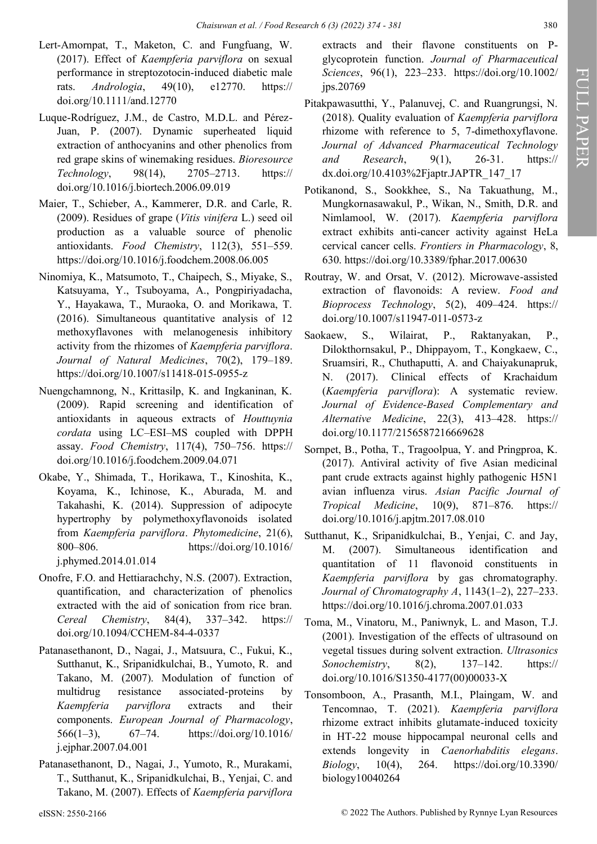- Lert-Amornpat, T., Maketon, C. and Fungfuang, W. (2017). Effect of *Kaempferia parviflora* on sexual performance in streptozotocin‐induced diabetic male rats. *Andrologia*, 49(10), e12770. https:// doi.org/10.1111/and.12770
- Luque-Rodríguez, J.M., de Castro, M.D.L. and Pérez-Juan, P. (2007). Dynamic superheated liquid extraction of anthocyanins and other phenolics from red grape skins of winemaking residues. *Bioresource Technology*, 98(14), 2705–2713. https:// doi.org/10.1016/j.biortech.2006.09.019
- Maier, T., Schieber, A., Kammerer, D.R. and Carle, R. (2009). Residues of grape (*Vitis vinifera* L.) seed oil production as a valuable source of phenolic antioxidants. *Food Chemistry*, 112(3), 551–559. https://doi.org/10.1016/j.foodchem.2008.06.005
- Ninomiya, K., Matsumoto, T., Chaipech, S., Miyake, S., Katsuyama, Y., Tsuboyama, A., Pongpiriyadacha, Y., Hayakawa, T., Muraoka, O. and Morikawa, T. (2016). Simultaneous quantitative analysis of 12 methoxyflavones with melanogenesis inhibitory activity from the rhizomes of *Kaempferia parviflora*. *Journal of Natural Medicines*, 70(2), 179–189. https://doi.org/10.1007/s11418-015-0955-z
- Nuengchamnong, N., Krittasilp, K. and Ingkaninan, K. (2009). Rapid screening and identification of antioxidants in aqueous extracts of *Houttuynia cordata* using LC–ESI–MS coupled with DPPH assay. *Food Chemistry*, 117(4), 750–756. https:// doi.org/10.1016/j.foodchem.2009.04.071
- Okabe, Y., Shimada, T., Horikawa, T., Kinoshita, K., Koyama, K., Ichinose, K., Aburada, M. and Takahashi, K. (2014). Suppression of adipocyte hypertrophy by polymethoxyflavonoids isolated from *Kaempferia parviflora*. *Phytomedicine*, 21(6), 800–806. https://doi.org/10.1016/ j.phymed.2014.01.014
- Onofre, F.O. and Hettiarachchy, N.S. (2007). Extraction, quantification, and characterization of phenolics extracted with the aid of sonication from rice bran. *Cereal Chemistry*, 84(4), 337–342. https:// doi.org/10.1094/CCHEM-84-4-0337
- Patanasethanont, D., Nagai, J., Matsuura, C., Fukui, K., Sutthanut, K., Sripanidkulchai, B., Yumoto, R. and Takano, M. (2007). Modulation of function of multidrug resistance associated-proteins by *Kaempferia parviflora* extracts and their components. *European Journal of Pharmacology*, 566(1–3), 67–74. https://doi.org/10.1016/ j.ejphar.2007.04.001
- Patanasethanont, D., Nagai, J., Yumoto, R., Murakami, T., Sutthanut, K., Sripanidkulchai, B., Yenjai, C. and Takano, M. (2007). Effects of *Kaempferia parviflora*

extracts and their flavone constituents on Pglycoprotein function. *Journal of Pharmaceutical Sciences*, 96(1), 223–233. https://doi.org/10.1002/ jps.20769

- Pitakpawasutthi, Y., Palanuvej, C. and Ruangrungsi, N. (2018). Quality evaluation of *Kaempferia parviflora* rhizome with reference to 5, 7-dimethoxyflavone. *Journal of Advanced Pharmaceutical Technology and Research*, 9(1), 26-31. https:// dx.doi.org/10.4103%2Fjaptr.JAPTR\_147\_17
- Potikanond, S., Sookkhee, S., Na Takuathung, M., Mungkornasawakul, P., Wikan, N., Smith, D.R. and Nimlamool, W. (2017). *Kaempferia parviflora* extract exhibits anti-cancer activity against HeLa cervical cancer cells. *Frontiers in Pharmacology*, 8, 630. https://doi.org/10.3389/fphar.2017.00630
- Routray, W. and Orsat, V. (2012). Microwave-assisted extraction of flavonoids: A review. *Food and Bioprocess Technology*, 5(2), 409–424. https:// doi.org/10.1007/s11947-011-0573-z
- Saokaew, S., Wilairat, P., Raktanyakan, P., Dilokthornsakul, P., Dhippayom, T., Kongkaew, C., Sruamsiri, R., Chuthaputti, A. and Chaiyakunapruk, N. (2017). Clinical effects of Krachaidum (*Kaempferia parviflora*): A systematic review. *Journal of Evidence-Based Complementary and Alternative Medicine*, 22(3), 413–428. https:// doi.org/10.1177/2156587216669628
- Sornpet, B., Potha, T., Tragoolpua, Y. and Pringproa, K. (2017). Antiviral activity of five Asian medicinal pant crude extracts against highly pathogenic H5N1 avian influenza virus. *Asian Pacific Journal of Tropical Medicine*, 10(9), 871–876. https:// doi.org/10.1016/j.apjtm.2017.08.010
- Sutthanut, K., Sripanidkulchai, B., Yenjai, C. and Jay, M. (2007). Simultaneous identification and quantitation of 11 flavonoid constituents in *Kaempferia parviflora* by gas chromatography. *Journal of Chromatography A*, 1143(1–2), 227–233. https://doi.org/10.1016/j.chroma.2007.01.033
- Toma, M., Vinatoru, M., Paniwnyk, L. and Mason, T.J. (2001). Investigation of the effects of ultrasound on vegetal tissues during solvent extraction. *Ultrasonics Sonochemistry*, 8(2), 137–142. https:// doi.org/10.1016/S1350-4177(00)00033-X
- Tonsomboon, A., Prasanth, M.I., Plaingam, W. and Tencomnao, T. (2021). *Kaempferia parviflora* rhizome extract inhibits glutamate-induced toxicity in HT-22 mouse hippocampal neuronal cells and extends longevity in *Caenorhabditis elegans*. *Biology*, 10(4), 264. https://doi.org/10.3390/ biology10040264